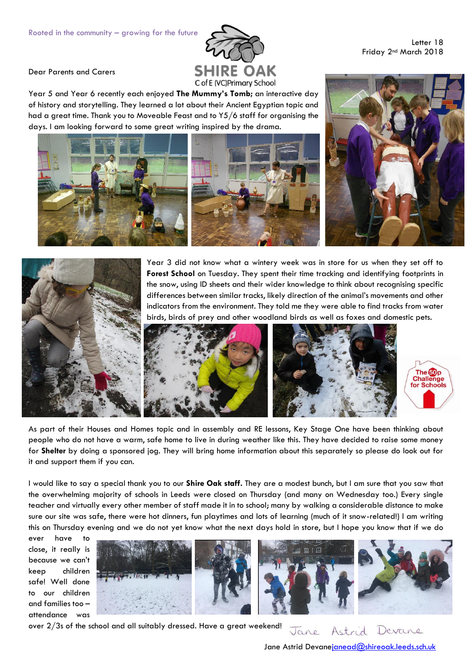

Letter 18 Friday 2nd March 2018

Dear Parents and Carers

Year 5 and Year 6 recently each enjoyed **The Mummy's Tomb;** an interactive day of history and storytelling. They learned a lot about their Ancient Egyptian topic and had a great time. Thank you to Moveable Feast and to Y5/6 staff for organising the days. I am looking forward to some great writing inspired by the drama.







Year 3 did not know what a wintery week was in store for us when they set off to **Forest School** on Tuesday. They spent their time tracking and identifying footprints in the snow, using ID sheets and their wider knowledge to think about recognising specific differences between similar tracks, likely direction of the animal's movements and other indicators from the environment. They told me they were able to find tracks from water birds, birds of prey and other woodland birds as well as foxes and domestic pets.



As part of their Houses and Homes topic and in assembly and RE lessons, Key Stage One have been thinking about people who do not have a warm, safe home to live in during weather like this. They have decided to raise some money for **Shelter** by doing a sponsored jog. They will bring home information about this separately so please do look out for it and support them if you can.

I would like to say a special thank you to our **Shire Oak staff.** They are a modest bunch, but I am sure that you saw that the overwhelming majority of schools in Leeds were closed on Thursday (and many on Wednesday too.) Every single teacher and virtually every other member of staff made it in to school; many by walking a considerable distance to make sure our site was safe, there were hot dinners, fun playtimes and lots of learning (much of it snow-related!) I am writing this on Thursday evening and we do not yet know what the next days hold in store, but I hope you know that if we do

ever have to close, it really is because we can't keep children safe! Well done to our children and families too – attendance was





over 2/3s of the school and all suitably dressed. Have a great weekend!

Astrid Devane Jane

Jane Astrid Devan[ejanead@shireoak.leeds.sch.uk](mailto:janead@shireoak.leeds.sch.uk)